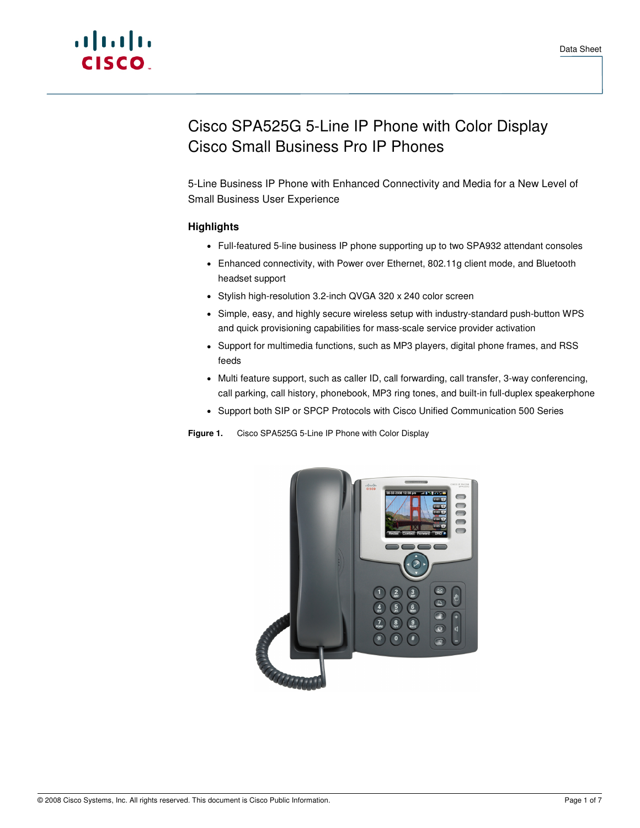# Cisco SPA525G 5-Line IP Phone with Color Display Cisco Small Business Pro IP Phones

5-Line Business IP Phone with Enhanced Connectivity and Media for a New Level of Small Business User Experience

# **Highlights**

- Full-featured 5-line business IP phone supporting up to two SPA932 attendant consoles
- Enhanced connectivity, with Power over Ethernet, 802.11g client mode, and Bluetooth headset support
- Stylish high-resolution 3.2-inch QVGA 320 x 240 color screen
- Simple, easy, and highly secure wireless setup with industry-standard push-button WPS and quick provisioning capabilities for mass-scale service provider activation
- Support for multimedia functions, such as MP3 players, digital phone frames, and RSS feeds
- Multi feature support, such as caller ID, call forwarding, call transfer, 3-way conferencing, call parking, call history, phonebook, MP3 ring tones, and built-in full-duplex speakerphone
- Support both SIP or SPCP Protocols with Cisco Unified Communication 500 Series

**Figure 1.** Cisco SPA525G 5-Line IP Phone with Color Display

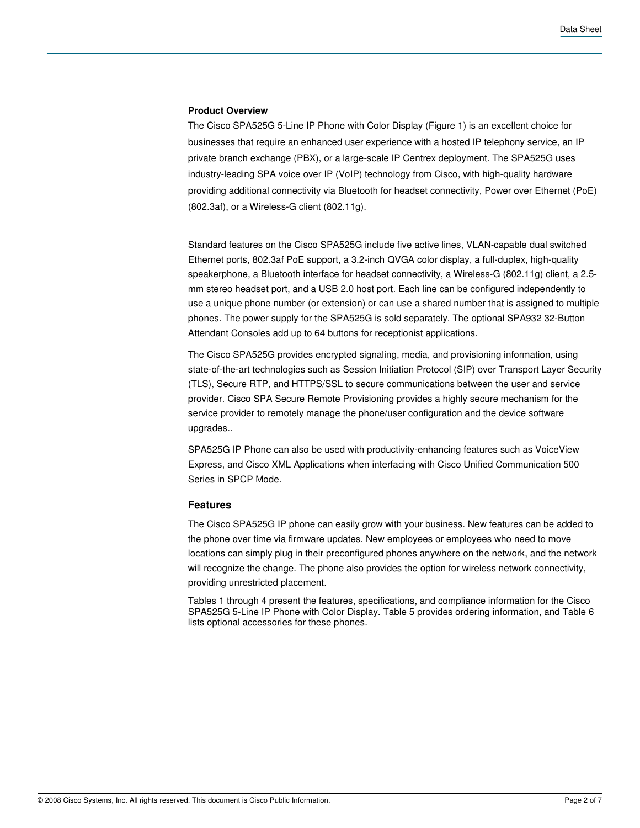#### **Product Overview**

The Cisco SPA525G 5-Line IP Phone with Color Display (Figure 1) is an excellent choice for businesses that require an enhanced user experience with a hosted IP telephony service, an IP private branch exchange (PBX), or a large-scale IP Centrex deployment. The SPA525G uses industry-leading SPA voice over IP (VoIP) technology from Cisco, with high-quality hardware providing additional connectivity via Bluetooth for headset connectivity, Power over Ethernet (PoE) (802.3af), or a Wireless-G client (802.11g).

Standard features on the Cisco SPA525G include five active lines, VLAN-capable dual switched Ethernet ports, 802.3af PoE support, a 3.2-inch QVGA color display, a full-duplex, high-quality speakerphone, a Bluetooth interface for headset connectivity, a Wireless-G (802.11g) client, a 2.5 mm stereo headset port, and a USB 2.0 host port. Each line can be configured independently to use a unique phone number (or extension) or can use a shared number that is assigned to multiple phones. The power supply for the SPA525G is sold separately. The optional SPA932 32-Button Attendant Consoles add up to 64 buttons for receptionist applications.

The Cisco SPA525G provides encrypted signaling, media, and provisioning information, using state-of-the-art technologies such as Session Initiation Protocol (SIP) over Transport Layer Security (TLS), Secure RTP, and HTTPS/SSL to secure communications between the user and service provider. Cisco SPA Secure Remote Provisioning provides a highly secure mechanism for the service provider to remotely manage the phone/user configuration and the device software upgrades..

SPA525G IP Phone can also be used with productivity-enhancing features such as VoiceView Express, and Cisco XML Applications when interfacing with Cisco Unified Communication 500 Series in SPCP Mode.

#### **Features**

The Cisco SPA525G IP phone can easily grow with your business. New features can be added to the phone over time via firmware updates. New employees or employees who need to move locations can simply plug in their preconfigured phones anywhere on the network, and the network will recognize the change. The phone also provides the option for wireless network connectivity, providing unrestricted placement.

Tables 1 through 4 present the features, specifications, and compliance information for the Cisco SPA525G 5-Line IP Phone with Color Display. Table 5 provides ordering information, and Table 6 lists optional accessories for these phones.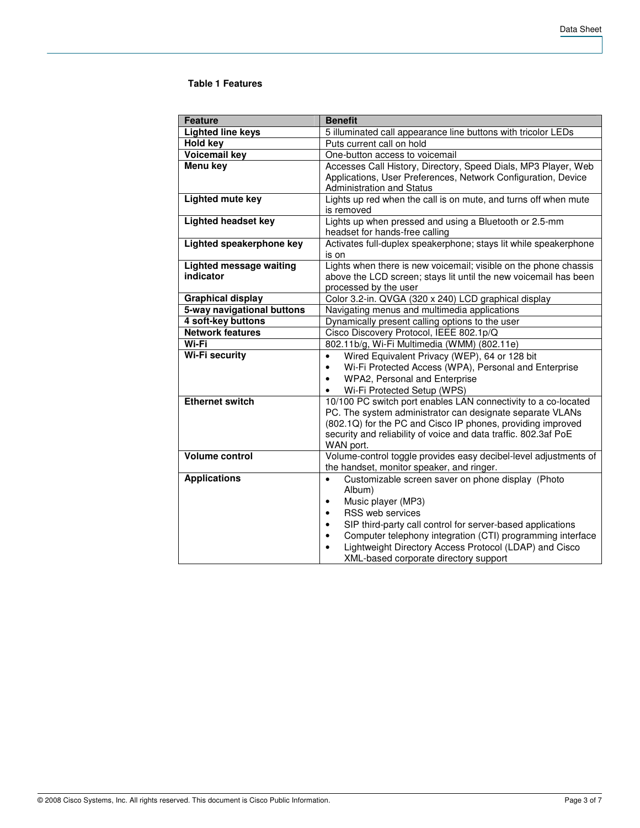## **Table 1 Features**

| <b>Feature</b>                 | <b>Benefit</b>                                                          |
|--------------------------------|-------------------------------------------------------------------------|
| <b>Lighted line keys</b>       | 5 illuminated call appearance line buttons with tricolor LEDs           |
| <b>Hold key</b>                | Puts current call on hold                                               |
| <b>Voicemail key</b>           | One-button access to voicemail                                          |
| <b>Menu key</b>                | Accesses Call History, Directory, Speed Dials, MP3 Player, Web          |
|                                | Applications, User Preferences, Network Configuration, Device           |
|                                | <b>Administration and Status</b>                                        |
| Lighted mute key               | Lights up red when the call is on mute, and turns off when mute         |
|                                | is removed                                                              |
| <b>Lighted headset key</b>     | Lights up when pressed and using a Bluetooth or 2.5-mm                  |
|                                | headset for hands-free calling                                          |
| Lighted speakerphone key       | Activates full-duplex speakerphone; stays lit while speakerphone        |
|                                | is on                                                                   |
| <b>Lighted message waiting</b> | Lights when there is new voicemail; visible on the phone chassis        |
| indicator                      | above the LCD screen; stays lit until the new voicemail has been        |
|                                | processed by the user                                                   |
| <b>Graphical display</b>       | Color 3.2-in. QVGA (320 x 240) LCD graphical display                    |
| 5-way navigational buttons     | Navigating menus and multimedia applications                            |
| 4 soft-key buttons             | Dynamically present calling options to the user                         |
| <b>Network features</b>        | Cisco Discovery Protocol, IEEE 802.1p/Q                                 |
| Wi-Fi                          | 802.11b/g, Wi-Fi Multimedia (WMM) (802.11e)                             |
| <b>Wi-Fi security</b>          | Wired Equivalent Privacy (WEP), 64 or 128 bit<br>$\bullet$              |
|                                | Wi-Fi Protected Access (WPA), Personal and Enterprise<br>٠              |
|                                | WPA2, Personal and Enterprise                                           |
|                                | Wi-Fi Protected Setup (WPS)                                             |
| <b>Ethernet switch</b>         | 10/100 PC switch port enables LAN connectivity to a co-located          |
|                                | PC. The system administrator can designate separate VLANs               |
|                                | (802.1Q) for the PC and Cisco IP phones, providing improved             |
|                                | security and reliability of voice and data traffic. 802.3af PoE         |
|                                | WAN port.                                                               |
| <b>Volume control</b>          | Volume-control toggle provides easy decibel-level adjustments of        |
|                                | the handset, monitor speaker, and ringer.                               |
| <b>Applications</b>            | Customizable screen saver on phone display (Photo<br>$\bullet$          |
|                                | Album)                                                                  |
|                                | Music player (MP3)<br>$\bullet$                                         |
|                                | RSS web services<br>$\bullet$                                           |
|                                | SIP third-party call control for server-based applications<br>$\bullet$ |
|                                | Computer telephony integration (CTI) programming interface<br>$\bullet$ |
|                                | Lightweight Directory Access Protocol (LDAP) and Cisco                  |
|                                | XML-based corporate directory support                                   |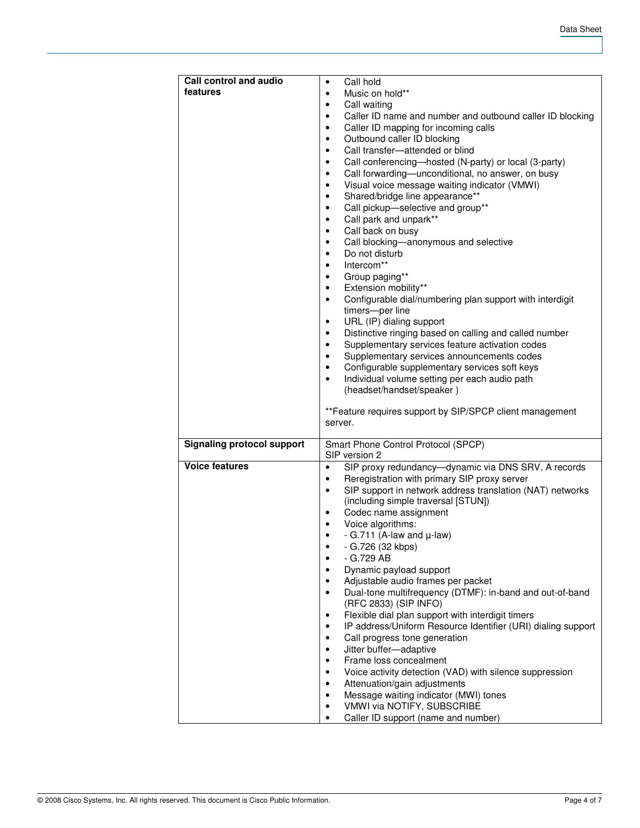| <b>Call control and audio</b>     | Call hold<br>$\bullet$                                                                           |
|-----------------------------------|--------------------------------------------------------------------------------------------------|
| features                          | Music on hold**<br>$\bullet$                                                                     |
|                                   | Call waiting<br>٠                                                                                |
|                                   | Caller ID name and number and outbound caller ID blocking<br>$\bullet$                           |
|                                   | Caller ID mapping for incoming calls<br>$\bullet$                                                |
|                                   | Outbound caller ID blocking<br>$\bullet$                                                         |
|                                   | Call transfer-attended or blind<br>$\bullet$                                                     |
|                                   | Call conferencing-hosted (N-party) or local (3-party)<br>$\bullet$                               |
|                                   | Call forwarding-unconditional, no answer, on busy<br>$\bullet$                                   |
|                                   | Visual voice message waiting indicator (VMWI)<br>$\bullet$                                       |
|                                   | Shared/bridge line appearance**<br>$\bullet$                                                     |
|                                   | Call pickup-selective and group**<br>$\bullet$                                                   |
|                                   | Call park and unpark**<br>$\bullet$                                                              |
|                                   | Call back on busy<br>$\bullet$                                                                   |
|                                   | Call blocking-anonymous and selective<br>$\bullet$                                               |
|                                   | Do not disturb<br>$\bullet$                                                                      |
|                                   | Intercom**<br>$\bullet$                                                                          |
|                                   | Group paging**<br>$\bullet$                                                                      |
|                                   | Extension mobility**<br>$\bullet$                                                                |
|                                   | Configurable dial/numbering plan support with interdigit<br>$\bullet$                            |
|                                   | timers-per line                                                                                  |
|                                   | URL (IP) dialing support<br>$\bullet$                                                            |
|                                   | Distinctive ringing based on calling and called number<br>$\bullet$                              |
|                                   | Supplementary services feature activation codes<br>$\bullet$                                     |
|                                   | Supplementary services announcements codes<br>٠                                                  |
|                                   | Configurable supplementary services soft keys<br>$\bullet$                                       |
|                                   | Individual volume setting per each audio path<br>$\bullet$                                       |
|                                   | (headset/handset/speaker)                                                                        |
|                                   |                                                                                                  |
|                                   |                                                                                                  |
|                                   | ** Feature requires support by SIP/SPCP client management                                        |
|                                   | server.                                                                                          |
|                                   |                                                                                                  |
| <b>Signaling protocol support</b> | Smart Phone Control Protocol (SPCP)                                                              |
| <b>Voice features</b>             | SIP version 2<br>$\bullet$                                                                       |
|                                   | SIP proxy redundancy-dynamic via DNS SRV, A records<br>$\bullet$                                 |
|                                   | Reregistration with primary SIP proxy server<br>$\bullet$                                        |
|                                   | SIP support in network address translation (NAT) networks<br>(including simple traversal [STUN]) |
|                                   | Codec name assignment                                                                            |
|                                   | Voice algorithms:<br>$\bullet$                                                                   |
|                                   | - G.711 (A-law and $\mu$ -law)<br>$\bullet$                                                      |
|                                   | - G.726 (32 kbps)<br>٠                                                                           |
|                                   | - G.729 AB                                                                                       |
|                                   | Dynamic payload support<br>$\bullet$                                                             |
|                                   | Adjustable audio frames per packet                                                               |
|                                   | Dual-tone multifrequency (DTMF): in-band and out-of-band<br>$\bullet$                            |
|                                   | (RFC 2833) (SIP INFO)                                                                            |
|                                   | Flexible dial plan support with interdigit timers<br>٠                                           |
|                                   | IP address/Uniform Resource Identifier (URI) dialing support<br>$\bullet$                        |
|                                   | Call progress tone generation<br>٠                                                               |
|                                   | Jitter buffer-adaptive<br>$\bullet$                                                              |
|                                   | Frame loss concealment<br>$\bullet$                                                              |
|                                   | Voice activity detection (VAD) with silence suppression<br>$\bullet$                             |
|                                   | Attenuation/gain adjustments<br>٠                                                                |
|                                   | Message waiting indicator (MWI) tones<br>٠                                                       |
|                                   | VMWI via NOTIFY, SUBSCRIBE<br>٠<br>Caller ID support (name and number)<br>٠                      |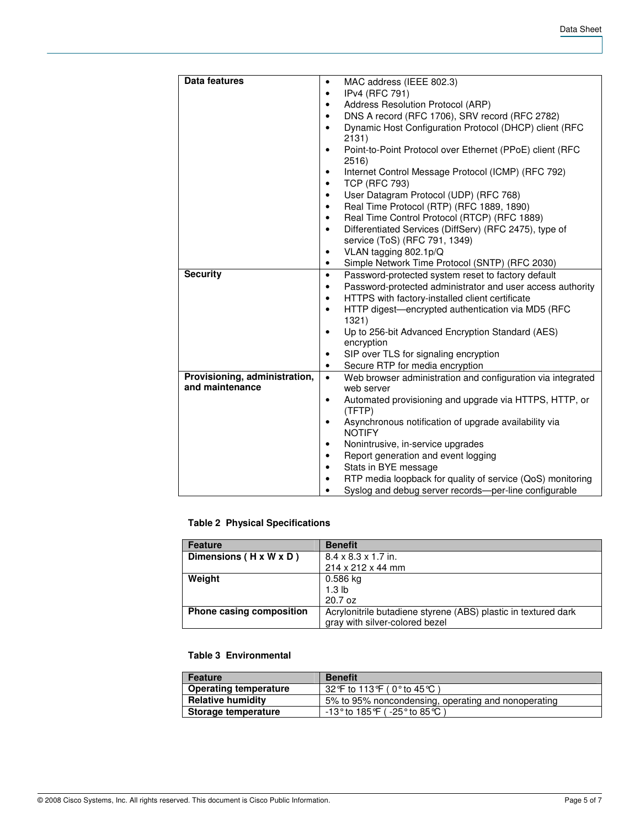| Data features                                    | MAC address (IEEE 802.3)                                                                             |
|--------------------------------------------------|------------------------------------------------------------------------------------------------------|
|                                                  | IPv4 (RFC 791)<br>٠                                                                                  |
|                                                  | Address Resolution Protocol (ARP)<br>٠                                                               |
|                                                  | DNS A record (RFC 1706), SRV record (RFC 2782)<br>$\bullet$                                          |
|                                                  | Dynamic Host Configuration Protocol (DHCP) client (RFC<br>$\bullet$                                  |
|                                                  | 2131)                                                                                                |
|                                                  | Point-to-Point Protocol over Ethernet (PPoE) client (RFC<br>$\bullet$<br>2516)                       |
|                                                  | Internet Control Message Protocol (ICMP) (RFC 792)<br>٠                                              |
|                                                  | <b>TCP (RFC 793)</b><br>$\bullet$                                                                    |
|                                                  | User Datagram Protocol (UDP) (RFC 768)<br>$\bullet$                                                  |
|                                                  | Real Time Protocol (RTP) (RFC 1889, 1890)<br>٠                                                       |
|                                                  | Real Time Control Protocol (RTCP) (RFC 1889)<br>$\bullet$                                            |
|                                                  | Differentiated Services (DiffServ) (RFC 2475), type of<br>$\bullet$<br>service (ToS) (RFC 791, 1349) |
|                                                  | VLAN tagging 802.1p/Q<br>$\bullet$                                                                   |
|                                                  | Simple Network Time Protocol (SNTP) (RFC 2030)<br>$\bullet$                                          |
| <b>Security</b>                                  | Password-protected system reset to factory default<br>$\bullet$                                      |
|                                                  | Password-protected administrator and user access authority<br>$\bullet$                              |
|                                                  | HTTPS with factory-installed client certificate<br>$\bullet$                                         |
|                                                  | HTTP digest-encrypted authentication via MD5 (RFC<br>$\bullet$<br>1321)                              |
|                                                  | Up to 256-bit Advanced Encryption Standard (AES)<br>$\bullet$<br>encryption                          |
|                                                  | SIP over TLS for signaling encryption<br>$\bullet$                                                   |
|                                                  | Secure RTP for media encryption<br>٠                                                                 |
| Provisioning, administration,<br>and maintenance | Web browser administration and configuration via integrated<br>$\bullet$<br>web server               |
|                                                  | Automated provisioning and upgrade via HTTPS, HTTP, or<br>$\bullet$<br>(TFTP)                        |
|                                                  | Asynchronous notification of upgrade availability via<br>$\bullet$<br><b>NOTIFY</b>                  |
|                                                  | Nonintrusive, in-service upgrades<br>٠                                                               |
|                                                  | Report generation and event logging<br>٠                                                             |
|                                                  | Stats in BYE message<br>$\bullet$                                                                    |
|                                                  | RTP media loopback for quality of service (QoS) monitoring<br>٠                                      |
|                                                  | Syslog and debug server records-per-line configurable                                                |

# **Table 2 Physical Specifications**

| <b>Feature</b>           | <b>Benefit</b>                                                 |
|--------------------------|----------------------------------------------------------------|
| Dimensions (H x W x D)   | $8.4 \times 8.3 \times 1.7$ in.                                |
|                          | 214 x 212 x 44 mm                                              |
| Weight                   | $0.586$ kg                                                     |
|                          | 1.3 <sub>lb</sub>                                              |
|                          | 20.7 oz                                                        |
| Phone casing composition | Acrylonitrile butadiene styrene (ABS) plastic in textured dark |
|                          | gray with silver-colored bezel                                 |

## **Table 3 Environmental**

| Feature                      | <b>Benefit</b>                                      |
|------------------------------|-----------------------------------------------------|
| <b>Operating temperature</b> | 32℉ to 113℉ ( 0° to 45℃ )                           |
| <b>Relative humidity</b>     | 5% to 95% noncondensing, operating and nonoperating |
| Storage temperature          | -13° to 185℉ ( -25° to 85℃ )                        |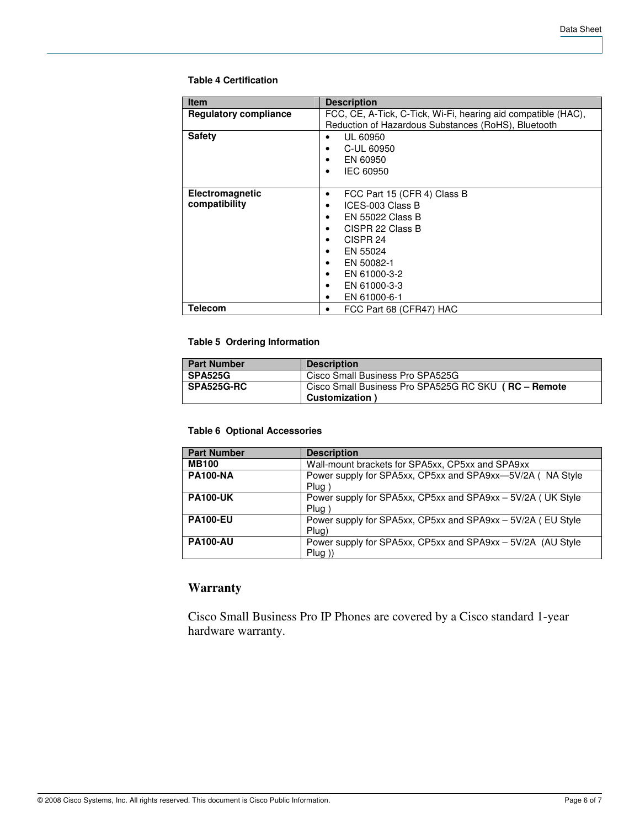#### **Table 4 Certification**

| <b>Item</b>                  | <b>Description</b>                                            |
|------------------------------|---------------------------------------------------------------|
| <b>Regulatory compliance</b> | FCC, CE, A-Tick, C-Tick, Wi-Fi, hearing aid compatible (HAC), |
|                              | Reduction of Hazardous Substances (RoHS), Bluetooth           |
| <b>Safety</b>                | UL 60950                                                      |
|                              | C-UL 60950                                                    |
|                              | EN 60950                                                      |
|                              | IEC 60950                                                     |
|                              |                                                               |
| Electromagnetic              | FCC Part 15 (CFR 4) Class B<br>٠                              |
| compatibility                | ICES-003 Class B                                              |
|                              | EN 55022 Class B                                              |
|                              | CISPR 22 Class B                                              |
|                              | CISPR <sub>24</sub>                                           |
|                              | EN 55024                                                      |
|                              | EN 50082-1                                                    |
|                              | EN 61000-3-2                                                  |
|                              | EN 61000-3-3                                                  |
|                              | EN 61000-6-1<br>٠                                             |
| <b>Telecom</b>               | FCC Part 68 (CFR47) HAC<br>٠                                  |

## **Table 5 Ordering Information**

| <b>Part Number</b> | <b>Description</b>                                   |
|--------------------|------------------------------------------------------|
| <b>SPA525G</b>     | Cisco Small Business Pro SPA525G                     |
| <b>SPA525G-RC</b>  | Cisco Small Business Pro SPA525G RC SKU (RC - Remote |
|                    | <b>Customization</b>                                 |

#### **Table 6 Optional Accessories**

| <b>Part Number</b> | <b>Description</b>                                                       |
|--------------------|--------------------------------------------------------------------------|
| <b>MB100</b>       | Wall-mount brackets for SPA5xx, CP5xx and SPA9xx                         |
| <b>PA100-NA</b>    | Power supply for SPA5xx, CP5xx and SPA9xx-5V/2A (NA Style<br>Plug        |
| <b>PA100-UK</b>    | Power supply for SPA5xx, CP5xx and SPA9xx - 5V/2A (UK Style<br>Plug      |
| <b>PA100-EU</b>    | Power supply for SPA5xx, CP5xx and SPA9xx - 5V/2A (EU Style<br>Plug)     |
| <b>PA100-AU</b>    | Power supply for SPA5xx, CP5xx and SPA9xx - 5V/2A (AU Style<br>$Plug)$ ) |

# **Warranty**

Cisco Small Business Pro IP Phones are covered by a Cisco standard 1-year hardware warranty.